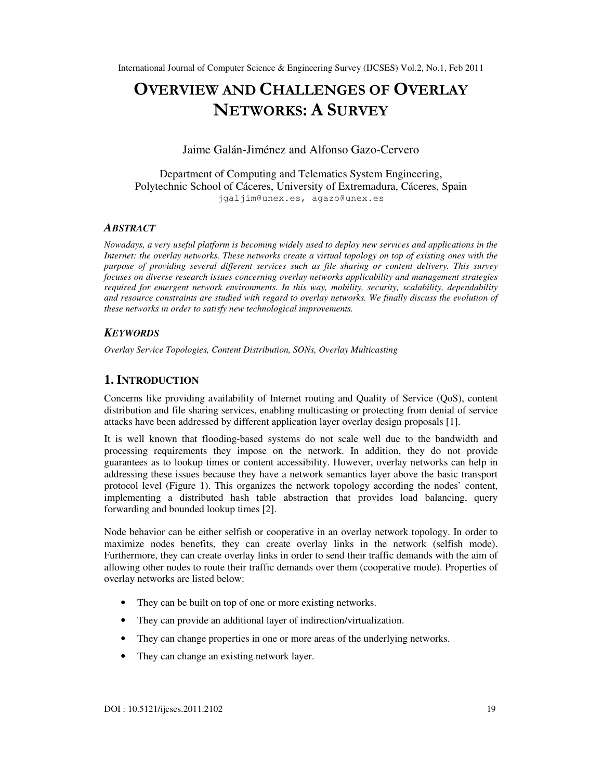# OVERVIEW AND CHALLENGES OF OVERLAY NETWORKS: A SURVEY

Jaime Galán-Jiménez and Alfonso Gazo-Cervero

Department of Computing and Telematics System Engineering, Polytechnic School of Cáceres, University of Extremadura, Cáceres, Spain jgaljim@unex.es, agazo@unex.es

# *ABSTRACT*

*Nowadays, a very useful platform is becoming widely used to deploy new services and applications in the Internet: the overlay networks. These networks create a virtual topology on top of existing ones with the purpose of providing several different services such as file sharing or content delivery. This survey focuses on diverse research issues concerning overlay networks applicability and management strategies required for emergent network environments. In this way, mobility, security, scalability, dependability and resource constraints are studied with regard to overlay networks. We finally discuss the evolution of these networks in order to satisfy new technological improvements.* 

## *KEYWORDS*

*Overlay Service Topologies, Content Distribution, SONs, Overlay Multicasting* 

## **1. INTRODUCTION**

Concerns like providing availability of Internet routing and Quality of Service (QoS), content distribution and file sharing services, enabling multicasting or protecting from denial of service attacks have been addressed by different application layer overlay design proposals [1].

It is well known that flooding-based systems do not scale well due to the bandwidth and processing requirements they impose on the network. In addition, they do not provide guarantees as to lookup times or content accessibility. However, overlay networks can help in addressing these issues because they have a network semantics layer above the basic transport protocol level (Figure 1). This organizes the network topology according the nodes' content, implementing a distributed hash table abstraction that provides load balancing, query forwarding and bounded lookup times [2].

Node behavior can be either selfish or cooperative in an overlay network topology. In order to maximize nodes benefits, they can create overlay links in the network (selfish mode). Furthermore, they can create overlay links in order to send their traffic demands with the aim of allowing other nodes to route their traffic demands over them (cooperative mode). Properties of overlay networks are listed below:

- They can be built on top of one or more existing networks.
- They can provide an additional layer of indirection/virtualization.
- They can change properties in one or more areas of the underlying networks.
- They can change an existing network layer.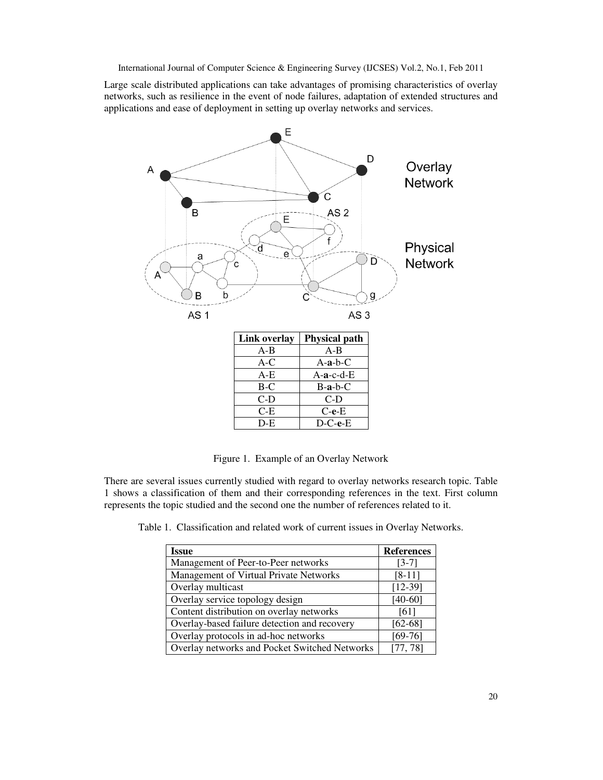Large scale distributed applications can take advantages of promising characteristics of overlay networks, such as resilience in the event of node failures, adaptation of extended structures and applications and ease of deployment in setting up overlay networks and services.



Figure 1. Example of an Overlay Network

There are several issues currently studied with regard to overlay networks research topic. Table 1 shows a classification of them and their corresponding references in the text. First column represents the topic studied and the second one the number of references related to it.

Table 1. Classification and related work of current issues in Overlay Networks.

| Issue                                         | <b>References</b> |
|-----------------------------------------------|-------------------|
| Management of Peer-to-Peer networks           | $[3-7]$           |
| Management of Virtual Private Networks        | $[8-11]$          |
| Overlay multicast                             | $[12-39]$         |
| Overlay service topology design               | $[40-60]$         |
| Content distribution on overlay networks      | [61]              |
| Overlay-based failure detection and recovery  | $[62-68]$         |
| Overlay protocols in ad-hoc networks          | $[69-76]$         |
| Overlay networks and Pocket Switched Networks | [77, 78]          |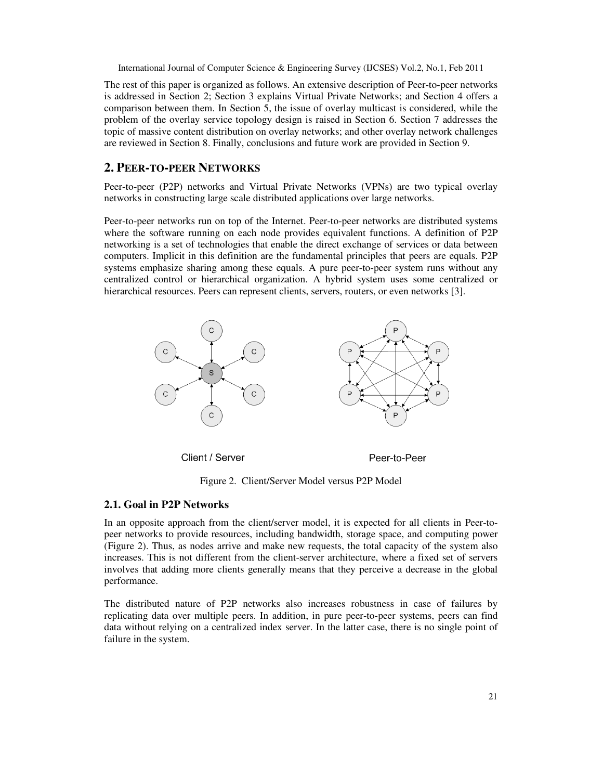The rest of this paper is organized as follows. An extensive description of Peer-to-peer networks is addressed in Section 2; Section 3 explains Virtual Private Networks; and Section 4 offers a comparison between them. In Section 5, the issue of overlay multicast is considered, while the problem of the overlay service topology design is raised in Section 6. Section 7 addresses the topic of massive content distribution on overlay networks; and other overlay network challenges are reviewed in Section 8. Finally, conclusions and future work are provided in Section 9.

## **2. PEER-TO-PEER NETWORKS**

Peer-to-peer (P2P) networks and Virtual Private Networks (VPNs) are two typical overlay networks in constructing large scale distributed applications over large networks.

Peer-to-peer networks run on top of the Internet. Peer-to-peer networks are distributed systems where the software running on each node provides equivalent functions. A definition of P2P networking is a set of technologies that enable the direct exchange of services or data between computers. Implicit in this definition are the fundamental principles that peers are equals. P2P systems emphasize sharing among these equals. A pure peer-to-peer system runs without any centralized control or hierarchical organization. A hybrid system uses some centralized or hierarchical resources. Peers can represent clients, servers, routers, or even networks [3].



Figure 2. Client/Server Model versus P2P Model

#### **2.1. Goal in P2P Networks**

In an opposite approach from the client/server model, it is expected for all clients in Peer-topeer networks to provide resources, including bandwidth, storage space, and computing power (Figure 2). Thus, as nodes arrive and make new requests, the total capacity of the system also increases. This is not different from the client-server architecture, where a fixed set of servers involves that adding more clients generally means that they perceive a decrease in the global performance.

The distributed nature of P2P networks also increases robustness in case of failures by replicating data over multiple peers. In addition, in pure peer-to-peer systems, peers can find data without relying on a centralized index server. In the latter case, there is no single point of failure in the system.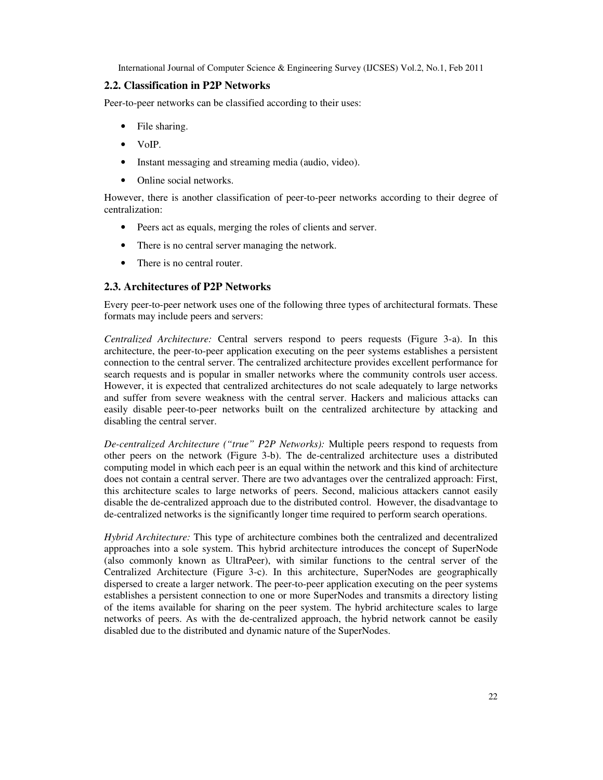## **2.2. Classification in P2P Networks**

Peer-to-peer networks can be classified according to their uses:

- File sharing.
- VoIP.
- Instant messaging and streaming media (audio, video).
- Online social networks.

However, there is another classification of peer-to-peer networks according to their degree of centralization:

- Peers act as equals, merging the roles of clients and server.
- There is no central server managing the network.
- There is no central router.

# **2.3. Architectures of P2P Networks**

Every peer-to-peer network uses one of the following three types of architectural formats. These formats may include peers and servers:

*Centralized Architecture:* Central servers respond to peers requests (Figure 3-a). In this architecture, the peer-to-peer application executing on the peer systems establishes a persistent connection to the central server. The centralized architecture provides excellent performance for search requests and is popular in smaller networks where the community controls user access. However, it is expected that centralized architectures do not scale adequately to large networks and suffer from severe weakness with the central server. Hackers and malicious attacks can easily disable peer-to-peer networks built on the centralized architecture by attacking and disabling the central server.

*De-centralized Architecture ("true" P2P Networks):* Multiple peers respond to requests from other peers on the network (Figure 3-b). The de-centralized architecture uses a distributed computing model in which each peer is an equal within the network and this kind of architecture does not contain a central server. There are two advantages over the centralized approach: First, this architecture scales to large networks of peers. Second, malicious attackers cannot easily disable the de-centralized approach due to the distributed control. However, the disadvantage to de-centralized networks is the significantly longer time required to perform search operations.

*Hybrid Architecture:* This type of architecture combines both the centralized and decentralized approaches into a sole system. This hybrid architecture introduces the concept of SuperNode (also commonly known as UltraPeer), with similar functions to the central server of the Centralized Architecture (Figure 3-c). In this architecture, SuperNodes are geographically dispersed to create a larger network. The peer-to-peer application executing on the peer systems establishes a persistent connection to one or more SuperNodes and transmits a directory listing of the items available for sharing on the peer system. The hybrid architecture scales to large networks of peers. As with the de-centralized approach, the hybrid network cannot be easily disabled due to the distributed and dynamic nature of the SuperNodes.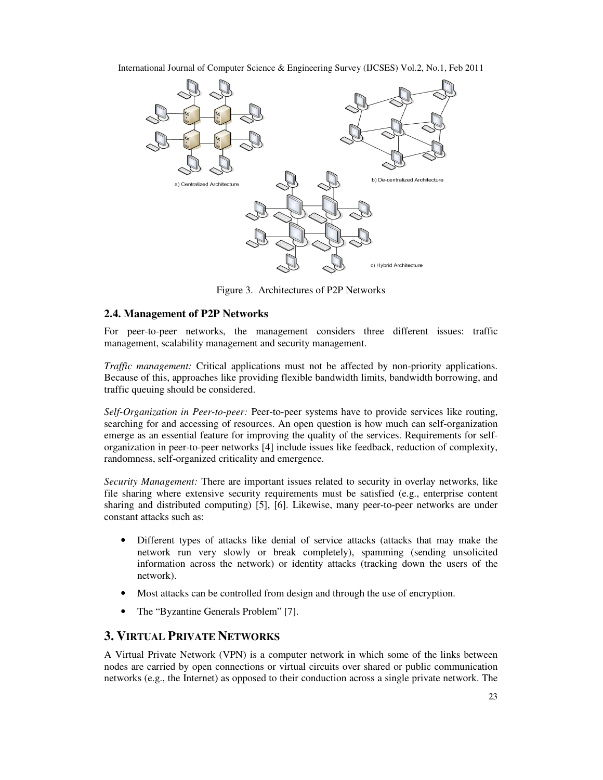

Figure 3. Architectures of P2P Networks

## **2.4. Management of P2P Networks**

For peer-to-peer networks, the management considers three different issues: traffic management, scalability management and security management.

*Traffic management:* Critical applications must not be affected by non-priority applications. Because of this, approaches like providing flexible bandwidth limits, bandwidth borrowing, and traffic queuing should be considered.

*Self-Organization in Peer-to-peer:* Peer-to-peer systems have to provide services like routing, searching for and accessing of resources. An open question is how much can self-organization emerge as an essential feature for improving the quality of the services. Requirements for selforganization in peer-to-peer networks [4] include issues like feedback, reduction of complexity, randomness, self-organized criticality and emergence.

*Security Management:* There are important issues related to security in overlay networks, like file sharing where extensive security requirements must be satisfied (e.g., enterprise content sharing and distributed computing) [5], [6]. Likewise, many peer-to-peer networks are under constant attacks such as:

- Different types of attacks like denial of service attacks (attacks that may make the network run very slowly or break completely), spamming (sending unsolicited information across the network) or identity attacks (tracking down the users of the network).
- Most attacks can be controlled from design and through the use of encryption.
- The "Byzantine Generals Problem" [7].

# **3. VIRTUAL PRIVATE NETWORKS**

A Virtual Private Network (VPN) is a computer network in which some of the links between nodes are carried by open connections or virtual circuits over shared or public communication networks (e.g., the Internet) as opposed to their conduction across a single private network. The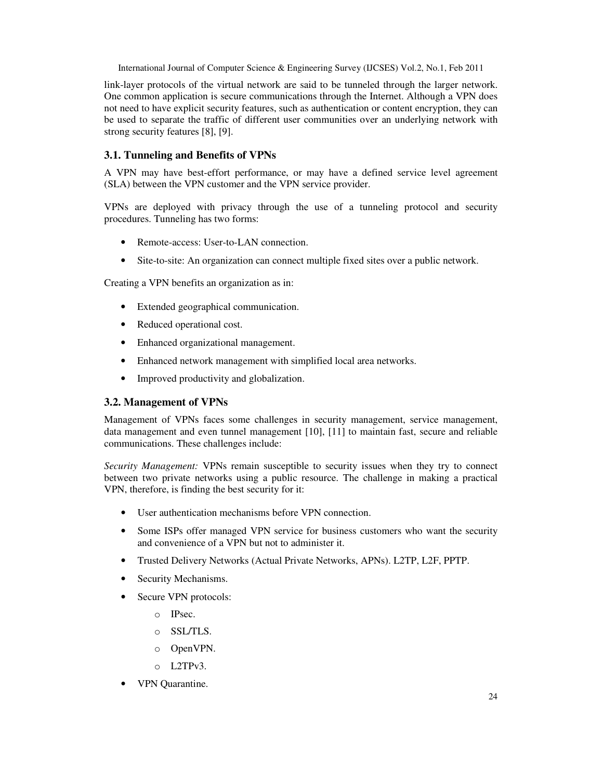link-layer protocols of the virtual network are said to be tunneled through the larger network. One common application is secure communications through the Internet. Although a VPN does not need to have explicit security features, such as authentication or content encryption, they can be used to separate the traffic of different user communities over an underlying network with strong security features [8], [9].

#### **3.1. Tunneling and Benefits of VPNs**

A VPN may have best-effort performance, or may have a defined service level agreement (SLA) between the VPN customer and the VPN service provider.

VPNs are deployed with privacy through the use of a tunneling protocol and security procedures. Tunneling has two forms:

- Remote-access: User-to-LAN connection.
- Site-to-site: An organization can connect multiple fixed sites over a public network.

Creating a VPN benefits an organization as in:

- Extended geographical communication.
- Reduced operational cost.
- Enhanced organizational management.
- Enhanced network management with simplified local area networks.
- Improved productivity and globalization.

#### **3.2. Management of VPNs**

Management of VPNs faces some challenges in security management, service management, data management and even tunnel management [10], [11] to maintain fast, secure and reliable communications. These challenges include:

*Security Management:* VPNs remain susceptible to security issues when they try to connect between two private networks using a public resource. The challenge in making a practical VPN, therefore, is finding the best security for it:

- User authentication mechanisms before VPN connection.
- Some ISPs offer managed VPN service for business customers who want the security and convenience of a VPN but not to administer it.
- Trusted Delivery Networks (Actual Private Networks, APNs). L2TP, L2F, PPTP.
- Security Mechanisms.
- Secure VPN protocols:
	- o IPsec.
	- o SSL/TLS.
	- o OpenVPN.
	- o L2TPv3.
- VPN Quarantine.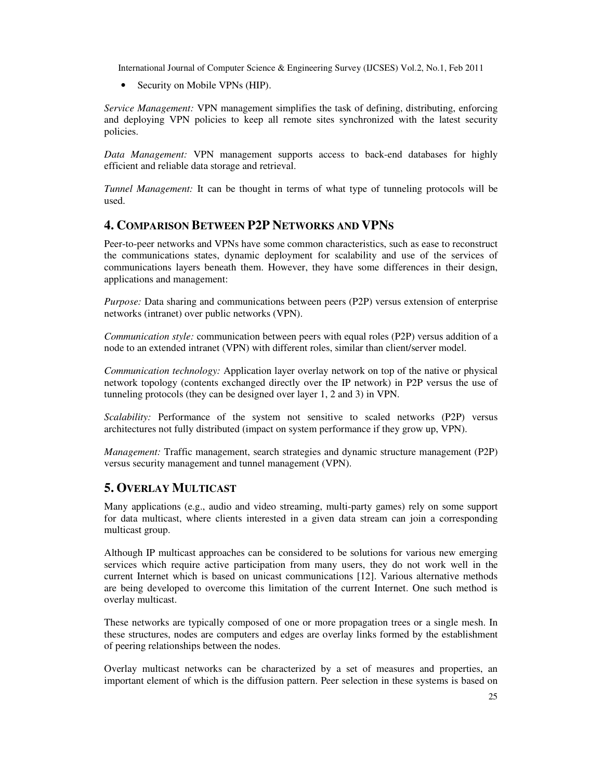• Security on Mobile VPNs (HIP).

*Service Management:* VPN management simplifies the task of defining, distributing, enforcing and deploying VPN policies to keep all remote sites synchronized with the latest security policies.

*Data Management:* VPN management supports access to back-end databases for highly efficient and reliable data storage and retrieval.

*Tunnel Management:* It can be thought in terms of what type of tunneling protocols will be used.

# **4. COMPARISON BETWEEN P2P NETWORKS AND VPNS**

Peer-to-peer networks and VPNs have some common characteristics, such as ease to reconstruct the communications states, dynamic deployment for scalability and use of the services of communications layers beneath them. However, they have some differences in their design, applications and management:

*Purpose:* Data sharing and communications between peers (P2P) versus extension of enterprise networks (intranet) over public networks (VPN).

*Communication style:* communication between peers with equal roles (P2P) versus addition of a node to an extended intranet (VPN) with different roles, similar than client/server model.

*Communication technology:* Application layer overlay network on top of the native or physical network topology (contents exchanged directly over the IP network) in P2P versus the use of tunneling protocols (they can be designed over layer 1, 2 and 3) in VPN.

*Scalability:* Performance of the system not sensitive to scaled networks (P2P) versus architectures not fully distributed (impact on system performance if they grow up, VPN).

*Management:* Traffic management, search strategies and dynamic structure management (P2P) versus security management and tunnel management (VPN).

# **5. OVERLAY MULTICAST**

Many applications (e.g., audio and video streaming, multi-party games) rely on some support for data multicast, where clients interested in a given data stream can join a corresponding multicast group.

Although IP multicast approaches can be considered to be solutions for various new emerging services which require active participation from many users, they do not work well in the current Internet which is based on unicast communications [12]. Various alternative methods are being developed to overcome this limitation of the current Internet. One such method is overlay multicast.

These networks are typically composed of one or more propagation trees or a single mesh. In these structures, nodes are computers and edges are overlay links formed by the establishment of peering relationships between the nodes.

Overlay multicast networks can be characterized by a set of measures and properties, an important element of which is the diffusion pattern. Peer selection in these systems is based on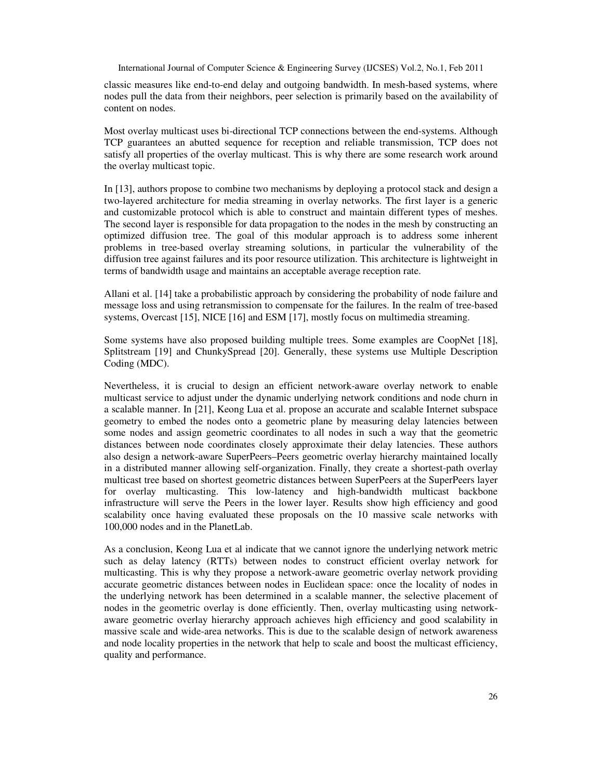classic measures like end-to-end delay and outgoing bandwidth. In mesh-based systems, where nodes pull the data from their neighbors, peer selection is primarily based on the availability of content on nodes.

Most overlay multicast uses bi-directional TCP connections between the end-systems. Although TCP guarantees an abutted sequence for reception and reliable transmission, TCP does not satisfy all properties of the overlay multicast. This is why there are some research work around the overlay multicast topic.

In [13], authors propose to combine two mechanisms by deploying a protocol stack and design a two-layered architecture for media streaming in overlay networks. The first layer is a generic and customizable protocol which is able to construct and maintain different types of meshes. The second layer is responsible for data propagation to the nodes in the mesh by constructing an optimized diffusion tree. The goal of this modular approach is to address some inherent problems in tree-based overlay streaming solutions, in particular the vulnerability of the diffusion tree against failures and its poor resource utilization. This architecture is lightweight in terms of bandwidth usage and maintains an acceptable average reception rate.

Allani et al. [14] take a probabilistic approach by considering the probability of node failure and message loss and using retransmission to compensate for the failures. In the realm of tree-based systems, Overcast [15], NICE [16] and ESM [17], mostly focus on multimedia streaming.

Some systems have also proposed building multiple trees. Some examples are CoopNet [18], Splitstream [19] and ChunkySpread [20]. Generally, these systems use Multiple Description Coding (MDC).

Nevertheless, it is crucial to design an efficient network-aware overlay network to enable multicast service to adjust under the dynamic underlying network conditions and node churn in a scalable manner. In [21], Keong Lua et al. propose an accurate and scalable Internet subspace geometry to embed the nodes onto a geometric plane by measuring delay latencies between some nodes and assign geometric coordinates to all nodes in such a way that the geometric distances between node coordinates closely approximate their delay latencies. These authors also design a network-aware SuperPeers–Peers geometric overlay hierarchy maintained locally in a distributed manner allowing self-organization. Finally, they create a shortest-path overlay multicast tree based on shortest geometric distances between SuperPeers at the SuperPeers layer for overlay multicasting. This low-latency and high-bandwidth multicast backbone infrastructure will serve the Peers in the lower layer. Results show high efficiency and good scalability once having evaluated these proposals on the 10 massive scale networks with 100,000 nodes and in the PlanetLab.

As a conclusion, Keong Lua et al indicate that we cannot ignore the underlying network metric such as delay latency (RTTs) between nodes to construct efficient overlay network for multicasting. This is why they propose a network-aware geometric overlay network providing accurate geometric distances between nodes in Euclidean space: once the locality of nodes in the underlying network has been determined in a scalable manner, the selective placement of nodes in the geometric overlay is done efficiently. Then, overlay multicasting using networkaware geometric overlay hierarchy approach achieves high efficiency and good scalability in massive scale and wide-area networks. This is due to the scalable design of network awareness and node locality properties in the network that help to scale and boost the multicast efficiency, quality and performance.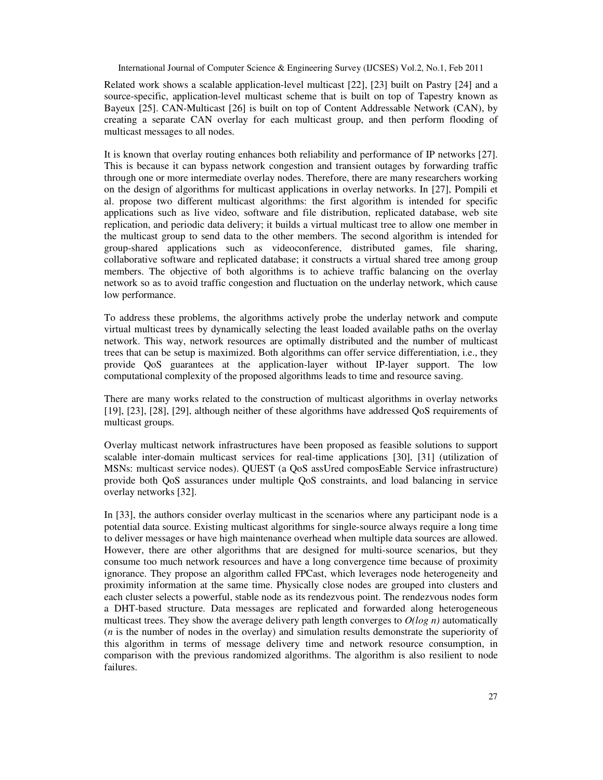Related work shows a scalable application-level multicast [22], [23] built on Pastry [24] and a source-specific, application-level multicast scheme that is built on top of Tapestry known as Bayeux [25]. CAN-Multicast [26] is built on top of Content Addressable Network (CAN), by creating a separate CAN overlay for each multicast group, and then perform flooding of multicast messages to all nodes.

It is known that overlay routing enhances both reliability and performance of IP networks [27]. This is because it can bypass network congestion and transient outages by forwarding traffic through one or more intermediate overlay nodes. Therefore, there are many researchers working on the design of algorithms for multicast applications in overlay networks. In [27], Pompili et al. propose two different multicast algorithms: the first algorithm is intended for specific applications such as live video, software and file distribution, replicated database, web site replication, and periodic data delivery; it builds a virtual multicast tree to allow one member in the multicast group to send data to the other members. The second algorithm is intended for group-shared applications such as videoconference, distributed games, file sharing, collaborative software and replicated database; it constructs a virtual shared tree among group members. The objective of both algorithms is to achieve traffic balancing on the overlay network so as to avoid traffic congestion and fluctuation on the underlay network, which cause low performance.

To address these problems, the algorithms actively probe the underlay network and compute virtual multicast trees by dynamically selecting the least loaded available paths on the overlay network. This way, network resources are optimally distributed and the number of multicast trees that can be setup is maximized. Both algorithms can offer service differentiation, i.e., they provide QoS guarantees at the application-layer without IP-layer support. The low computational complexity of the proposed algorithms leads to time and resource saving.

There are many works related to the construction of multicast algorithms in overlay networks [19], [23], [28], [29], although neither of these algorithms have addressed QoS requirements of multicast groups.

Overlay multicast network infrastructures have been proposed as feasible solutions to support scalable inter-domain multicast services for real-time applications [30], [31] (utilization of MSNs: multicast service nodes). QUEST (a QoS assUred composEable Service infrastructure) provide both QoS assurances under multiple QoS constraints, and load balancing in service overlay networks [32].

In [33], the authors consider overlay multicast in the scenarios where any participant node is a potential data source. Existing multicast algorithms for single-source always require a long time to deliver messages or have high maintenance overhead when multiple data sources are allowed. However, there are other algorithms that are designed for multi-source scenarios, but they consume too much network resources and have a long convergence time because of proximity ignorance. They propose an algorithm called FPCast, which leverages node heterogeneity and proximity information at the same time. Physically close nodes are grouped into clusters and each cluster selects a powerful, stable node as its rendezvous point. The rendezvous nodes form a DHT-based structure. Data messages are replicated and forwarded along heterogeneous multicast trees. They show the average delivery path length converges to *O(log n)* automatically (*n* is the number of nodes in the overlay) and simulation results demonstrate the superiority of this algorithm in terms of message delivery time and network resource consumption, in comparison with the previous randomized algorithms. The algorithm is also resilient to node failures.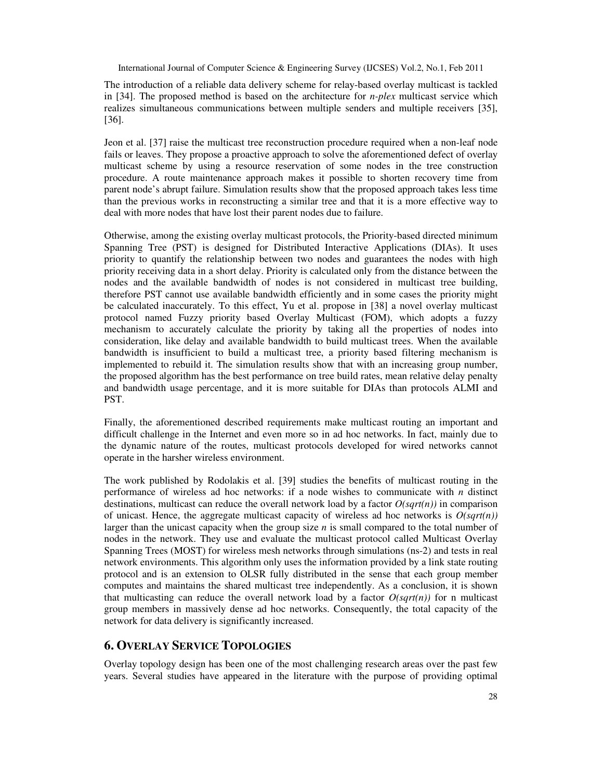The introduction of a reliable data delivery scheme for relay-based overlay multicast is tackled in [34]. The proposed method is based on the architecture for *n-plex* multicast service which realizes simultaneous communications between multiple senders and multiple receivers [35], [36].

Jeon et al. [37] raise the multicast tree reconstruction procedure required when a non-leaf node fails or leaves. They propose a proactive approach to solve the aforementioned defect of overlay multicast scheme by using a resource reservation of some nodes in the tree construction procedure. A route maintenance approach makes it possible to shorten recovery time from parent node's abrupt failure. Simulation results show that the proposed approach takes less time than the previous works in reconstructing a similar tree and that it is a more effective way to deal with more nodes that have lost their parent nodes due to failure.

Otherwise, among the existing overlay multicast protocols, the Priority-based directed minimum Spanning Tree (PST) is designed for Distributed Interactive Applications (DIAs). It uses priority to quantify the relationship between two nodes and guarantees the nodes with high priority receiving data in a short delay. Priority is calculated only from the distance between the nodes and the available bandwidth of nodes is not considered in multicast tree building, therefore PST cannot use available bandwidth efficiently and in some cases the priority might be calculated inaccurately. To this effect, Yu et al. propose in [38] a novel overlay multicast protocol named Fuzzy priority based Overlay Multicast (FOM), which adopts a fuzzy mechanism to accurately calculate the priority by taking all the properties of nodes into consideration, like delay and available bandwidth to build multicast trees. When the available bandwidth is insufficient to build a multicast tree, a priority based filtering mechanism is implemented to rebuild it. The simulation results show that with an increasing group number, the proposed algorithm has the best performance on tree build rates, mean relative delay penalty and bandwidth usage percentage, and it is more suitable for DIAs than protocols ALMI and PST.

Finally, the aforementioned described requirements make multicast routing an important and difficult challenge in the Internet and even more so in ad hoc networks. In fact, mainly due to the dynamic nature of the routes, multicast protocols developed for wired networks cannot operate in the harsher wireless environment.

The work published by Rodolakis et al. [39] studies the benefits of multicast routing in the performance of wireless ad hoc networks: if a node wishes to communicate with *n* distinct destinations, multicast can reduce the overall network load by a factor *O(sqrt(n))* in comparison of unicast. Hence, the aggregate multicast capacity of wireless ad hoc networks is  $O(sqrt(n))$ larger than the unicast capacity when the group size *n* is small compared to the total number of nodes in the network. They use and evaluate the multicast protocol called Multicast Overlay Spanning Trees (MOST) for wireless mesh networks through simulations (ns-2) and tests in real network environments. This algorithm only uses the information provided by a link state routing protocol and is an extension to OLSR fully distributed in the sense that each group member computes and maintains the shared multicast tree independently. As a conclusion, it is shown that multicasting can reduce the overall network load by a factor  $O(sqrt(n))$  for n multicast group members in massively dense ad hoc networks. Consequently, the total capacity of the network for data delivery is significantly increased.

## **6. OVERLAY SERVICE TOPOLOGIES**

Overlay topology design has been one of the most challenging research areas over the past few years. Several studies have appeared in the literature with the purpose of providing optimal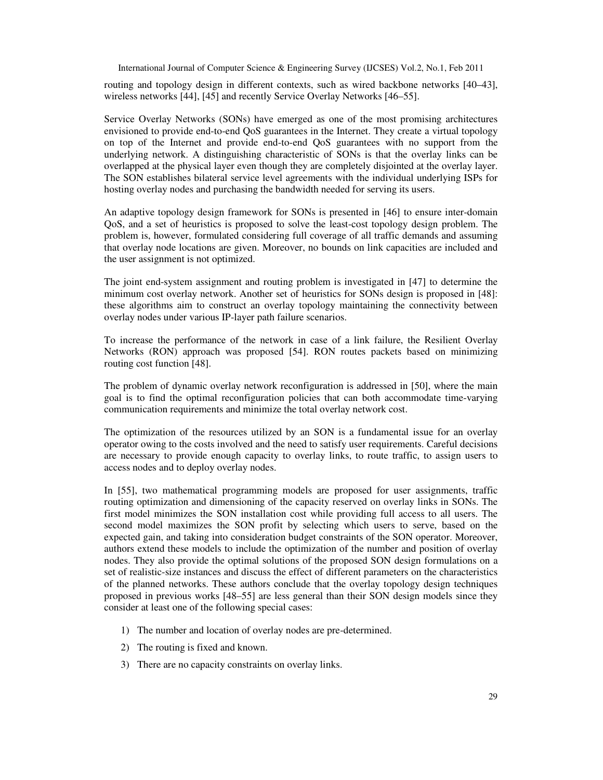routing and topology design in different contexts, such as wired backbone networks [40–43], wireless networks [44], [45] and recently Service Overlay Networks [46–55].

Service Overlay Networks (SONs) have emerged as one of the most promising architectures envisioned to provide end-to-end QoS guarantees in the Internet. They create a virtual topology on top of the Internet and provide end-to-end QoS guarantees with no support from the underlying network. A distinguishing characteristic of SONs is that the overlay links can be overlapped at the physical layer even though they are completely disjointed at the overlay layer. The SON establishes bilateral service level agreements with the individual underlying ISPs for hosting overlay nodes and purchasing the bandwidth needed for serving its users.

An adaptive topology design framework for SONs is presented in [46] to ensure inter-domain QoS, and a set of heuristics is proposed to solve the least-cost topology design problem. The problem is, however, formulated considering full coverage of all traffic demands and assuming that overlay node locations are given. Moreover, no bounds on link capacities are included and the user assignment is not optimized.

The joint end-system assignment and routing problem is investigated in [47] to determine the minimum cost overlay network. Another set of heuristics for SONs design is proposed in [48]: these algorithms aim to construct an overlay topology maintaining the connectivity between overlay nodes under various IP-layer path failure scenarios.

To increase the performance of the network in case of a link failure, the Resilient Overlay Networks (RON) approach was proposed [54]. RON routes packets based on minimizing routing cost function [48].

The problem of dynamic overlay network reconfiguration is addressed in [50], where the main goal is to find the optimal reconfiguration policies that can both accommodate time-varying communication requirements and minimize the total overlay network cost.

The optimization of the resources utilized by an SON is a fundamental issue for an overlay operator owing to the costs involved and the need to satisfy user requirements. Careful decisions are necessary to provide enough capacity to overlay links, to route traffic, to assign users to access nodes and to deploy overlay nodes.

In [55], two mathematical programming models are proposed for user assignments, traffic routing optimization and dimensioning of the capacity reserved on overlay links in SONs. The first model minimizes the SON installation cost while providing full access to all users. The second model maximizes the SON profit by selecting which users to serve, based on the expected gain, and taking into consideration budget constraints of the SON operator. Moreover, authors extend these models to include the optimization of the number and position of overlay nodes. They also provide the optimal solutions of the proposed SON design formulations on a set of realistic-size instances and discuss the effect of different parameters on the characteristics of the planned networks. These authors conclude that the overlay topology design techniques proposed in previous works [48–55] are less general than their SON design models since they consider at least one of the following special cases:

- 1) The number and location of overlay nodes are pre-determined.
- 2) The routing is fixed and known.
- 3) There are no capacity constraints on overlay links.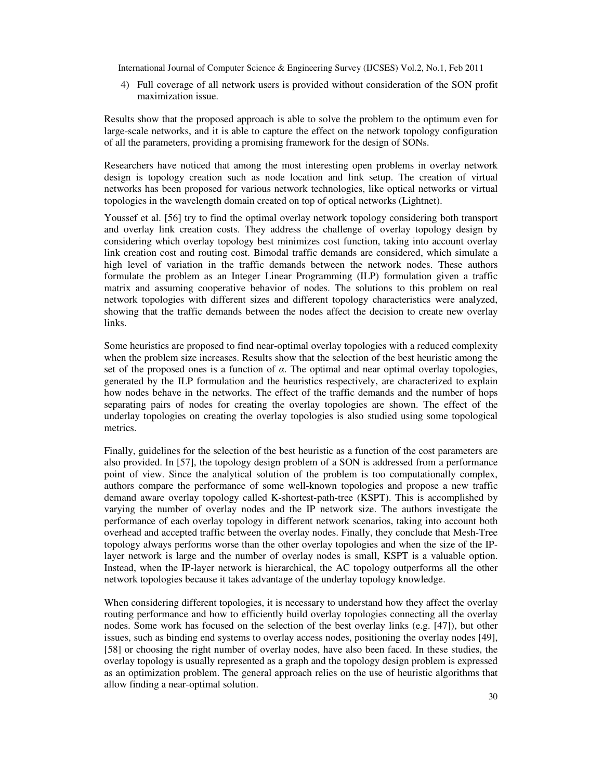4) Full coverage of all network users is provided without consideration of the SON profit maximization issue.

Results show that the proposed approach is able to solve the problem to the optimum even for large-scale networks, and it is able to capture the effect on the network topology configuration of all the parameters, providing a promising framework for the design of SONs.

Researchers have noticed that among the most interesting open problems in overlay network design is topology creation such as node location and link setup. The creation of virtual networks has been proposed for various network technologies, like optical networks or virtual topologies in the wavelength domain created on top of optical networks (Lightnet).

Youssef et al. [56] try to find the optimal overlay network topology considering both transport and overlay link creation costs. They address the challenge of overlay topology design by considering which overlay topology best minimizes cost function, taking into account overlay link creation cost and routing cost. Bimodal traffic demands are considered, which simulate a high level of variation in the traffic demands between the network nodes. These authors formulate the problem as an Integer Linear Programming (ILP) formulation given a traffic matrix and assuming cooperative behavior of nodes. The solutions to this problem on real network topologies with different sizes and different topology characteristics were analyzed, showing that the traffic demands between the nodes affect the decision to create new overlay links.

Some heuristics are proposed to find near-optimal overlay topologies with a reduced complexity when the problem size increases. Results show that the selection of the best heuristic among the set of the proposed ones is a function of  $\alpha$ . The optimal and near optimal overlay topologies, generated by the ILP formulation and the heuristics respectively, are characterized to explain how nodes behave in the networks. The effect of the traffic demands and the number of hops separating pairs of nodes for creating the overlay topologies are shown. The effect of the underlay topologies on creating the overlay topologies is also studied using some topological metrics.

Finally, guidelines for the selection of the best heuristic as a function of the cost parameters are also provided. In [57], the topology design problem of a SON is addressed from a performance point of view. Since the analytical solution of the problem is too computationally complex, authors compare the performance of some well-known topologies and propose a new traffic demand aware overlay topology called K-shortest-path-tree (KSPT). This is accomplished by varying the number of overlay nodes and the IP network size. The authors investigate the performance of each overlay topology in different network scenarios, taking into account both overhead and accepted traffic between the overlay nodes. Finally, they conclude that Mesh-Tree topology always performs worse than the other overlay topologies and when the size of the IPlayer network is large and the number of overlay nodes is small, KSPT is a valuable option. Instead, when the IP-layer network is hierarchical, the AC topology outperforms all the other network topologies because it takes advantage of the underlay topology knowledge.

When considering different topologies, it is necessary to understand how they affect the overlay routing performance and how to efficiently build overlay topologies connecting all the overlay nodes. Some work has focused on the selection of the best overlay links (e.g. [47]), but other issues, such as binding end systems to overlay access nodes, positioning the overlay nodes [49], [58] or choosing the right number of overlay nodes, have also been faced. In these studies, the overlay topology is usually represented as a graph and the topology design problem is expressed as an optimization problem. The general approach relies on the use of heuristic algorithms that allow finding a near-optimal solution.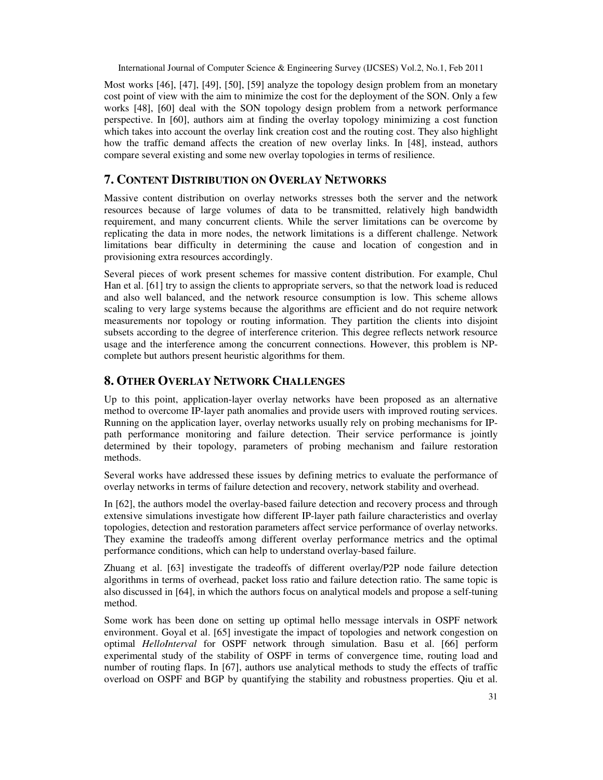Most works [46], [47], [49], [50], [59] analyze the topology design problem from an monetary cost point of view with the aim to minimize the cost for the deployment of the SON. Only a few works [48], [60] deal with the SON topology design problem from a network performance perspective. In [60], authors aim at finding the overlay topology minimizing a cost function which takes into account the overlay link creation cost and the routing cost. They also highlight how the traffic demand affects the creation of new overlay links. In [48], instead, authors compare several existing and some new overlay topologies in terms of resilience.

# **7. CONTENT DISTRIBUTION ON OVERLAY NETWORKS**

Massive content distribution on overlay networks stresses both the server and the network resources because of large volumes of data to be transmitted, relatively high bandwidth requirement, and many concurrent clients. While the server limitations can be overcome by replicating the data in more nodes, the network limitations is a different challenge. Network limitations bear difficulty in determining the cause and location of congestion and in provisioning extra resources accordingly.

Several pieces of work present schemes for massive content distribution. For example, Chul Han et al. [61] try to assign the clients to appropriate servers, so that the network load is reduced and also well balanced, and the network resource consumption is low. This scheme allows scaling to very large systems because the algorithms are efficient and do not require network measurements nor topology or routing information. They partition the clients into disjoint subsets according to the degree of interference criterion. This degree reflects network resource usage and the interference among the concurrent connections. However, this problem is NPcomplete but authors present heuristic algorithms for them.

# **8. OTHER OVERLAY NETWORK CHALLENGES**

Up to this point, application-layer overlay networks have been proposed as an alternative method to overcome IP-layer path anomalies and provide users with improved routing services. Running on the application layer, overlay networks usually rely on probing mechanisms for IPpath performance monitoring and failure detection. Their service performance is jointly determined by their topology, parameters of probing mechanism and failure restoration methods.

Several works have addressed these issues by defining metrics to evaluate the performance of overlay networks in terms of failure detection and recovery, network stability and overhead.

In [62], the authors model the overlay-based failure detection and recovery process and through extensive simulations investigate how different IP-layer path failure characteristics and overlay topologies, detection and restoration parameters affect service performance of overlay networks. They examine the tradeoffs among different overlay performance metrics and the optimal performance conditions, which can help to understand overlay-based failure.

Zhuang et al. [63] investigate the tradeoffs of different overlay/P2P node failure detection algorithms in terms of overhead, packet loss ratio and failure detection ratio. The same topic is also discussed in [64], in which the authors focus on analytical models and propose a self-tuning method.

Some work has been done on setting up optimal hello message intervals in OSPF network environment. Goyal et al. [65] investigate the impact of topologies and network congestion on optimal *HelloInterval* for OSPF network through simulation. Basu et al. [66] perform experimental study of the stability of OSPF in terms of convergence time, routing load and number of routing flaps. In [67], authors use analytical methods to study the effects of traffic overload on OSPF and BGP by quantifying the stability and robustness properties. Qiu et al.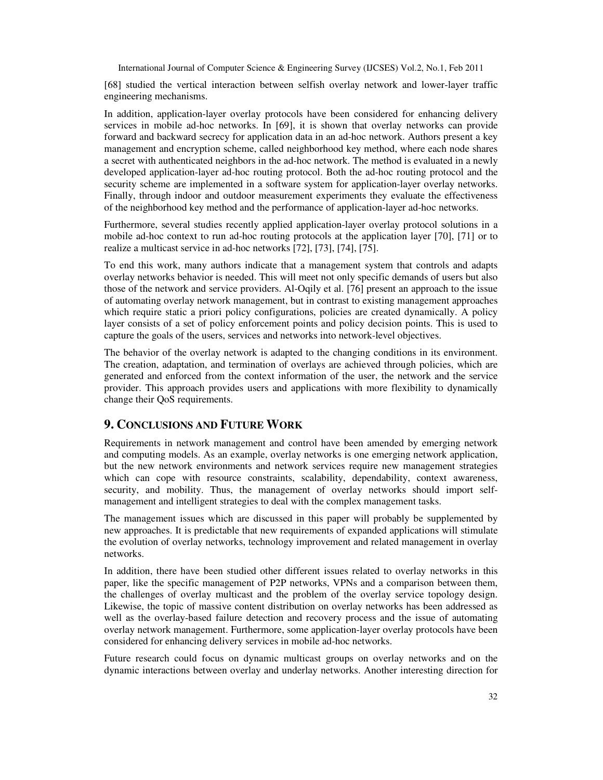[68] studied the vertical interaction between selfish overlay network and lower-layer traffic engineering mechanisms.

In addition, application-layer overlay protocols have been considered for enhancing delivery services in mobile ad-hoc networks. In [69], it is shown that overlay networks can provide forward and backward secrecy for application data in an ad-hoc network. Authors present a key management and encryption scheme, called neighborhood key method, where each node shares a secret with authenticated neighbors in the ad-hoc network. The method is evaluated in a newly developed application-layer ad-hoc routing protocol. Both the ad-hoc routing protocol and the security scheme are implemented in a software system for application-layer overlay networks. Finally, through indoor and outdoor measurement experiments they evaluate the effectiveness of the neighborhood key method and the performance of application-layer ad-hoc networks.

Furthermore, several studies recently applied application-layer overlay protocol solutions in a mobile ad-hoc context to run ad-hoc routing protocols at the application layer [70], [71] or to realize a multicast service in ad-hoc networks [72], [73], [74], [75].

To end this work, many authors indicate that a management system that controls and adapts overlay networks behavior is needed. This will meet not only specific demands of users but also those of the network and service providers. Al-Oqily et al. [76] present an approach to the issue of automating overlay network management, but in contrast to existing management approaches which require static a priori policy configurations, policies are created dynamically. A policy layer consists of a set of policy enforcement points and policy decision points. This is used to capture the goals of the users, services and networks into network-level objectives.

The behavior of the overlay network is adapted to the changing conditions in its environment. The creation, adaptation, and termination of overlays are achieved through policies, which are generated and enforced from the context information of the user, the network and the service provider. This approach provides users and applications with more flexibility to dynamically change their QoS requirements.

# **9. CONCLUSIONS AND FUTURE WORK**

Requirements in network management and control have been amended by emerging network and computing models. As an example, overlay networks is one emerging network application, but the new network environments and network services require new management strategies which can cope with resource constraints, scalability, dependability, context awareness, security, and mobility. Thus, the management of overlay networks should import selfmanagement and intelligent strategies to deal with the complex management tasks.

The management issues which are discussed in this paper will probably be supplemented by new approaches. It is predictable that new requirements of expanded applications will stimulate the evolution of overlay networks, technology improvement and related management in overlay networks.

In addition, there have been studied other different issues related to overlay networks in this paper, like the specific management of P2P networks, VPNs and a comparison between them, the challenges of overlay multicast and the problem of the overlay service topology design. Likewise, the topic of massive content distribution on overlay networks has been addressed as well as the overlay-based failure detection and recovery process and the issue of automating overlay network management. Furthermore, some application-layer overlay protocols have been considered for enhancing delivery services in mobile ad-hoc networks.

Future research could focus on dynamic multicast groups on overlay networks and on the dynamic interactions between overlay and underlay networks. Another interesting direction for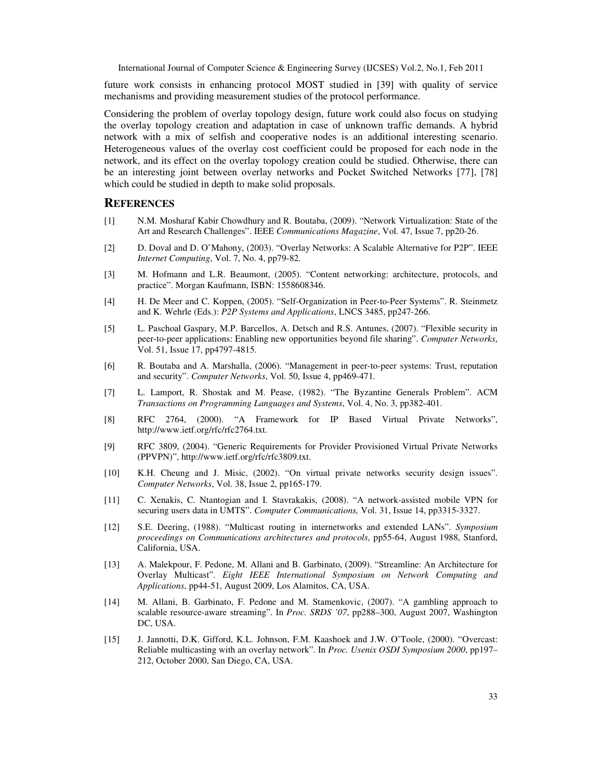future work consists in enhancing protocol MOST studied in [39] with quality of service mechanisms and providing measurement studies of the protocol performance.

Considering the problem of overlay topology design, future work could also focus on studying the overlay topology creation and adaptation in case of unknown traffic demands. A hybrid network with a mix of selfish and cooperative nodes is an additional interesting scenario. Heterogeneous values of the overlay cost coefficient could be proposed for each node in the network, and its effect on the overlay topology creation could be studied. Otherwise, there can be an interesting joint between overlay networks and Pocket Switched Networks [77], [78] which could be studied in depth to make solid proposals.

## **REFERENCES**

- [1] N.M. Mosharaf Kabir Chowdhury and R. Boutaba, (2009). "Network Virtualization: State of the Art and Research Challenges". IEEE *Communications Magazine*, Vol. 47, Issue 7, pp20-26.
- [2] D. Doval and D. O'Mahony, (2003). "Overlay Networks: A Scalable Alternative for P2P". IEEE *Internet Computing*, Vol. 7, No. 4, pp79-82.
- [3] M. Hofmann and L.R. Beaumont, (2005). "Content networking: architecture, protocols, and practice". Morgan Kaufmann, ISBN: 1558608346.
- [4] H. De Meer and C. Koppen, (2005). "Self-Organization in Peer-to-Peer Systems". R. Steinmetz and K. Wehrle (Eds.): *P2P Systems and Applications*, LNCS 3485, pp247-266.
- [5] L. Paschoal Gaspary, M.P. Barcellos, A. Detsch and R.S. Antunes, (2007). "Flexible security in peer-to-peer applications: Enabling new opportunities beyond file sharing". *Computer Networks*, Vol. 51, Issue 17, pp4797-4815.
- [6] R. Boutaba and A. Marshalla, (2006). "Management in peer-to-peer systems: Trust, reputation and security". *Computer Networks*, Vol. 50, Issue 4, pp469-471.
- [7] L. Lamport, R. Shostak and M. Pease, (1982). "The Byzantine Generals Problem". ACM *Transactions on Programming Languages and Systems*, Vol. 4, No. 3, pp382-401.
- [8] RFC 2764, (2000). "A Framework for IP Based Virtual Private Networks", http://www.ietf.org/rfc/rfc2764.txt.
- [9] RFC 3809, (2004). "Generic Requirements for Provider Provisioned Virtual Private Networks (PPVPN)", http://www.ietf.org/rfc/rfc3809.txt.
- [10] K.H. Cheung and J. Misic, (2002). "On virtual private networks security design issues". *Computer Networks*, Vol. 38, Issue 2, pp165-179.
- [11] C. Xenakis, C. Ntantogian and I. Stavrakakis, (2008). "A network-assisted mobile VPN for securing users data in UMTS". *Computer Communications,* Vol. 31, Issue 14, pp3315-3327.
- [12] S.E. Deering, (1988). "Multicast routing in internetworks and extended LANs". *Symposium proceedings on Communications architectures and protocols*, pp55-64, August 1988, Stanford, California, USA.
- [13] A. Malekpour, F. Pedone, M. Allani and B. Garbinato, (2009). "Streamline: An Architecture for Overlay Multicast". *Eight IEEE International Symposium on Network Computing and Applications*, pp44-51, August 2009, Los Alamitos, CA, USA.
- [14] M. Allani, B. Garbinato, F. Pedone and M. Stamenkovic, (2007). "A gambling approach to scalable resource-aware streaming". In *Proc. SRDS '07*, pp288–300, August 2007, Washington DC, USA.
- [15] J. Jannotti, D.K. Gifford, K.L. Johnson, F.M. Kaashoek and J.W. O'Toole, (2000). "Overcast: Reliable multicasting with an overlay network". In *Proc. Usenix OSDI Symposium 2000*, pp197– 212, October 2000, San Diego, CA, USA.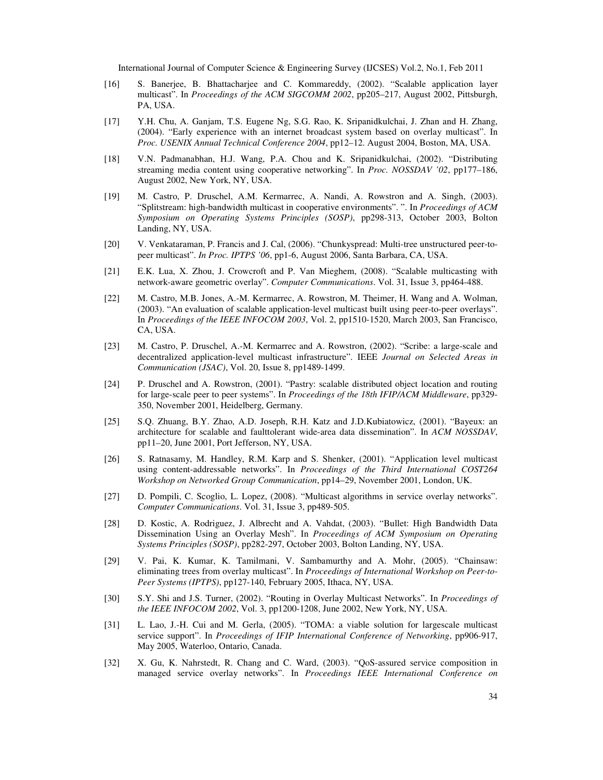- [16] S. Banerjee, B. Bhattacharjee and C. Kommareddy, (2002). "Scalable application layer multicast". In *Proceedings of the ACM SIGCOMM 2002*, pp205–217, August 2002, Pittsburgh, PA, USA.
- [17] Y.H. Chu, A. Ganjam, T.S. Eugene Ng, S.G. Rao, K. Sripanidkulchai, J. Zhan and H. Zhang, (2004). "Early experience with an internet broadcast system based on overlay multicast". In *Proc. USENIX Annual Technical Conference 2004*, pp12–12. August 2004, Boston, MA, USA.
- [18] V.N. Padmanabhan, H.J. Wang, P.A. Chou and K. Sripanidkulchai, (2002). "Distributing streaming media content using cooperative networking". In *Proc. NOSSDAV '02*, pp177–186, August 2002, New York, NY, USA.
- [19] M. Castro, P. Druschel, A.M. Kermarrec, A. Nandi, A. Rowstron and A. Singh, (2003). "Splitstream: high-bandwidth multicast in cooperative environments". ". In *Proceedings of ACM Symposium on Operating Systems Principles (SOSP)*, pp298-313, October 2003, Bolton Landing, NY, USA.
- [20] V. Venkataraman, P. Francis and J. Cal, (2006). "Chunkyspread: Multi-tree unstructured peer-topeer multicast". *In Proc. IPTPS '06*, pp1-6, August 2006, Santa Barbara, CA, USA.
- [21] E.K. Lua, X. Zhou, J. Crowcroft and P. Van Mieghem, (2008). "Scalable multicasting with network-aware geometric overlay". *Computer Communications*. Vol. 31, Issue 3, pp464-488.
- [22] M. Castro, M.B. Jones, A.-M. Kermarrec, A. Rowstron, M. Theimer, H. Wang and A. Wolman, (2003). "An evaluation of scalable application-level multicast built using peer-to-peer overlays". In *Proceedings of the IEEE INFOCOM 2003*, Vol. 2, pp1510-1520, March 2003, San Francisco, CA, USA.
- [23] M. Castro, P. Druschel, A.-M. Kermarrec and A. Rowstron, (2002). "Scribe: a large-scale and decentralized application-level multicast infrastructure". IEEE *Journal on Selected Areas in Communication (JSAC)*, Vol. 20, Issue 8, pp1489-1499.
- [24] P. Druschel and A. Rowstron, (2001). "Pastry: scalable distributed object location and routing for large-scale peer to peer systems". In *Proceedings of the 18th IFIP/ACM Middleware*, pp329- 350, November 2001, Heidelberg, Germany.
- [25] S.Q. Zhuang, B.Y. Zhao, A.D. Joseph, R.H. Katz and J.D.Kubiatowicz, (2001). "Bayeux: an architecture for scalable and faulttolerant wide-area data dissemination". In *ACM NOSSDAV*, pp11–20, June 2001, Port Jefferson, NY, USA.
- [26] S. Ratnasamy, M. Handley, R.M. Karp and S. Shenker, (2001). "Application level multicast using content-addressable networks". In *Proceedings of the Third International COST264 Workshop on Networked Group Communication*, pp14–29, November 2001, London, UK.
- [27] D. Pompili, C. Scoglio, L. Lopez, (2008). "Multicast algorithms in service overlay networks". *Computer Communications*. Vol. 31, Issue 3, pp489-505.
- [28] D. Kostic, A. Rodriguez, J. Albrecht and A. Vahdat, (2003). "Bullet: High Bandwidth Data Dissemination Using an Overlay Mesh". In *Proceedings of ACM Symposium on Operating Systems Principles (SOSP)*, pp282-297, October 2003, Bolton Landing, NY, USA.
- [29] V. Pai, K. Kumar, K. Tamilmani, V. Sambamurthy and A. Mohr, (2005). "Chainsaw: eliminating trees from overlay multicast". In *Proceedings of International Workshop on Peer-to-Peer Systems (IPTPS)*, pp127-140, February 2005, Ithaca, NY, USA.
- [30] S.Y. Shi and J.S. Turner, (2002). "Routing in Overlay Multicast Networks". In *Proceedings of the IEEE INFOCOM 2002*, Vol. 3, pp1200-1208, June 2002, New York, NY, USA.
- [31] L. Lao, J.-H. Cui and M. Gerla, (2005). "TOMA: a viable solution for largescale multicast service support". In *Proceedings of IFIP International Conference of Networking*, pp906-917, May 2005, Waterloo, Ontario, Canada.
- [32] X. Gu, K. Nahrstedt, R. Chang and C. Ward, (2003). "QoS-assured service composition in managed service overlay networks". In *Proceedings IEEE International Conference on*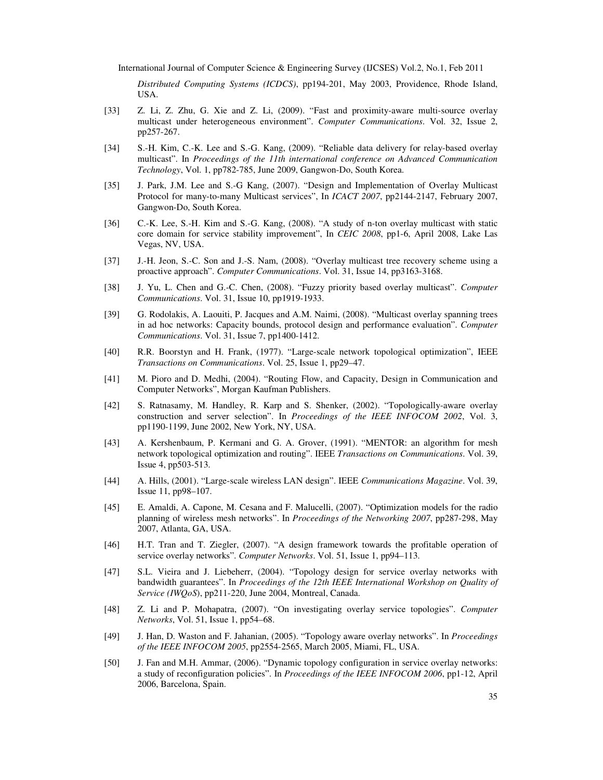*Distributed Computing Systems (ICDCS)*, pp194-201, May 2003, Providence, Rhode Island, USA.

- [33] Z. Li, Z. Zhu, G. Xie and Z. Li, (2009). "Fast and proximity-aware multi-source overlay multicast under heterogeneous environment". *Computer Communications*. Vol. 32, Issue 2, pp257-267.
- [34] S.-H. Kim, C.-K. Lee and S.-G. Kang, (2009). "Reliable data delivery for relay-based overlay multicast". In *Proceedings of the 11th international conference on Advanced Communication Technology*, Vol. 1, pp782-785, June 2009, Gangwon-Do, South Korea.
- [35] J. Park, J.M. Lee and S.-G Kang, (2007). "Design and Implementation of Overlay Multicast Protocol for many-to-many Multicast services", In *ICACT 2007*, pp2144-2147, February 2007, Gangwon-Do, South Korea.
- [36] C.-K. Lee, S.-H. Kim and S.-G. Kang, (2008). "A study of n-ton overlay multicast with static core domain for service stability improvement", In *CEIC 2008*, pp1-6, April 2008, Lake Las Vegas, NV, USA.
- [37] J.-H. Jeon, S.-C. Son and J.-S. Nam, (2008). "Overlay multicast tree recovery scheme using a proactive approach". *Computer Communications*. Vol. 31, Issue 14, pp3163-3168.
- [38] J. Yu, L. Chen and G.-C. Chen, (2008). "Fuzzy priority based overlay multicast". *Computer Communications*. Vol. 31, Issue 10, pp1919-1933.
- [39] G. Rodolakis, A. Laouiti, P. Jacques and A.M. Naimi, (2008). "Multicast overlay spanning trees in ad hoc networks: Capacity bounds, protocol design and performance evaluation". *Computer Communications*. Vol. 31, Issue 7, pp1400-1412.
- [40] R.R. Boorstyn and H. Frank, (1977). "Large-scale network topological optimization", IEEE *Transactions on Communications*. Vol. 25, Issue 1, pp29–47.
- [41] M. Pioro and D. Medhi, (2004). "Routing Flow, and Capacity, Design in Communication and Computer Networks", Morgan Kaufman Publishers.
- [42] S. Ratnasamy, M. Handley, R. Karp and S. Shenker, (2002). "Topologically-aware overlay construction and server selection". In *Proceedings of the IEEE INFOCOM 2002*, Vol. 3, pp1190-1199, June 2002, New York, NY, USA.
- [43] A. Kershenbaum, P. Kermani and G. A. Grover, (1991). "MENTOR: an algorithm for mesh network topological optimization and routing". IEEE *Transactions on Communications*. Vol. 39, Issue 4, pp503-513.
- [44] A. Hills, (2001). "Large-scale wireless LAN design". IEEE *Communications Magazine*. Vol. 39, Issue 11, pp98–107.
- [45] E. Amaldi, A. Capone, M. Cesana and F. Malucelli, (2007). "Optimization models for the radio planning of wireless mesh networks". In *Proceedings of the Networking 2007*, pp287-298, May 2007, Atlanta, GA, USA.
- [46] H.T. Tran and T. Ziegler, (2007). "A design framework towards the profitable operation of service overlay networks". *Computer Networks*. Vol. 51, Issue 1, pp94–113.
- [47] S.L. Vieira and J. Liebeherr, (2004). "Topology design for service overlay networks with bandwidth guarantees". In *Proceedings of the 12th IEEE International Workshop on Quality of Service (IWQoS*), pp211-220, June 2004, Montreal, Canada.
- [48] Z. Li and P. Mohapatra, (2007). "On investigating overlay service topologies". *Computer Networks*, Vol. 51, Issue 1, pp54–68.
- [49] J. Han, D. Waston and F. Jahanian, (2005). "Topology aware overlay networks". In *Proceedings of the IEEE INFOCOM 2005*, pp2554-2565, March 2005, Miami, FL, USA.
- [50] J. Fan and M.H. Ammar, (2006). "Dynamic topology configuration in service overlay networks: a study of reconfiguration policies". In *Proceedings of the IEEE INFOCOM 2006*, pp1-12, April 2006, Barcelona, Spain.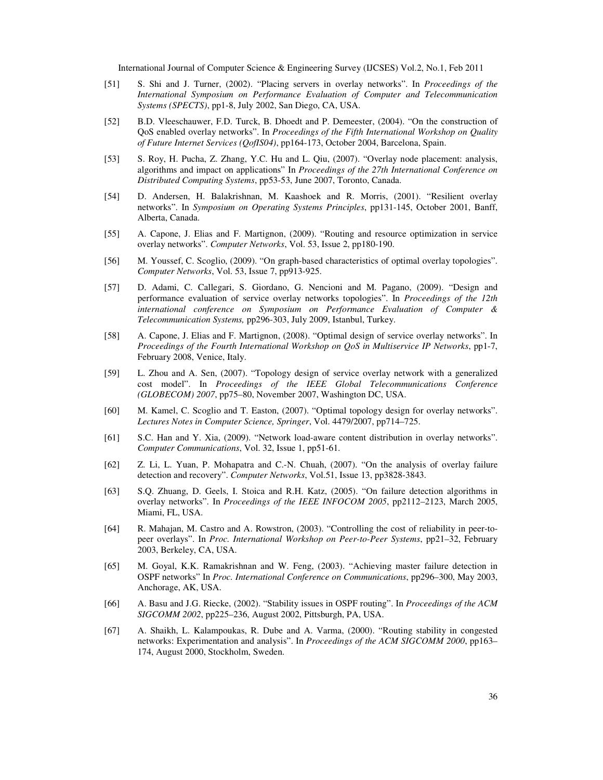- [51] S. Shi and J. Turner, (2002). "Placing servers in overlay networks". In *Proceedings of the International Symposium on Performance Evaluation of Computer and Telecommunication Systems (SPECTS)*, pp1-8, July 2002, San Diego, CA, USA.
- [52] B.D. Vleeschauwer, F.D. Turck, B. Dhoedt and P. Demeester, (2004). "On the construction of QoS enabled overlay networks". In *Proceedings of the Fifth International Workshop on Quality of Future Internet Services (QofIS04)*, pp164-173, October 2004, Barcelona, Spain.
- [53] S. Roy, H. Pucha, Z. Zhang, Y.C. Hu and L. Qiu, (2007). "Overlay node placement: analysis, algorithms and impact on applications" In *Proceedings of the 27th International Conference on Distributed Computing Systems*, pp53-53, June 2007, Toronto, Canada.
- [54] D. Andersen, H. Balakrishnan, M. Kaashoek and R. Morris, (2001). "Resilient overlay networks". In *Symposium on Operating Systems Principles*, pp131-145, October 2001, Banff, Alberta, Canada.
- [55] A. Capone, J. Elias and F. Martignon, (2009). "Routing and resource optimization in service overlay networks". *Computer Networks*, Vol. 53, Issue 2, pp180-190.
- [56] M. Youssef, C. Scoglio, (2009). "On graph-based characteristics of optimal overlay topologies". *Computer Networks*, Vol. 53, Issue 7, pp913-925.
- [57] D. Adami, C. Callegari, S. Giordano, G. Nencioni and M. Pagano, (2009). "Design and performance evaluation of service overlay networks topologies". In *Proceedings of the 12th international conference on Symposium on Performance Evaluation of Computer & Telecommunication Systems,* pp296-303, July 2009, Istanbul, Turkey.
- [58] A. Capone, J. Elias and F. Martignon, (2008). "Optimal design of service overlay networks". In *Proceedings of the Fourth International Workshop on QoS in Multiservice IP Networks*, pp1-7, February 2008, Venice, Italy.
- [59] L. Zhou and A. Sen, (2007). "Topology design of service overlay network with a generalized cost model". In *Proceedings of the IEEE Global Telecommunications Conference (GLOBECOM) 2007*, pp75–80, November 2007, Washington DC, USA.
- [60] M. Kamel, C. Scoglio and T. Easton, (2007). "Optimal topology design for overlay networks". *Lectures Notes in Computer Science, Springer*, Vol. 4479/2007, pp714–725.
- [61] S.C. Han and Y. Xia, (2009). "Network load-aware content distribution in overlay networks". *Computer Communications*, Vol. 32, Issue 1, pp51-61.
- [62] Z. Li, L. Yuan, P. Mohapatra and C.-N. Chuah, (2007). "On the analysis of overlay failure detection and recovery". *Computer Networks*, Vol.51, Issue 13, pp3828-3843.
- [63] S.Q. Zhuang, D. Geels, I. Stoica and R.H. Katz, (2005). "On failure detection algorithms in overlay networks". In *Proceedings of the IEEE INFOCOM 2005*, pp2112–2123, March 2005, Miami, FL, USA.
- [64] R. Mahajan, M. Castro and A. Rowstron, (2003). "Controlling the cost of reliability in peer-topeer overlays". In *Proc. International Workshop on Peer-to-Peer Systems*, pp21–32, February 2003, Berkeley, CA, USA.
- [65] M. Goyal, K.K. Ramakrishnan and W. Feng, (2003). "Achieving master failure detection in OSPF networks" In *Proc. International Conference on Communications*, pp296–300, May 2003, Anchorage, AK, USA.
- [66] A. Basu and J.G. Riecke, (2002). "Stability issues in OSPF routing". In *Proceedings of the ACM SIGCOMM 2002*, pp225–236, August 2002, Pittsburgh, PA, USA.
- [67] A. Shaikh, L. Kalampoukas, R. Dube and A. Varma, (2000). "Routing stability in congested networks: Experimentation and analysis". In *Proceedings of the ACM SIGCOMM 2000*, pp163– 174, August 2000, Stockholm, Sweden.